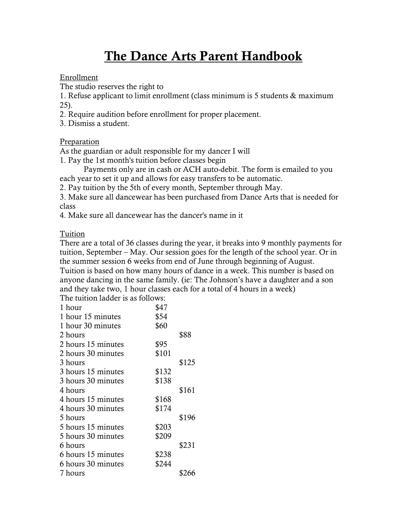# The Dance Arts Parent Handbook

#### Enrollment

The studio reserves the right to

1. Refuse applicant to limit enrollment (class minimum is 5 students & maximum 25).

2. Require audition before enrollment for proper placement.

3. Dismiss a student.

### Preparation

As the guardian or adult responsible for my dancer I will

1. Pay the 1st month's tuition before classes begin

Payments only are in cash or ACH auto-debit. The form is emailed to you each year to set it up and allows for easy transfers to be automatic.

2. Pay tuition by the 5th of every month, September through May.

3. Make sure all dancewear has been purchased from Dance Arts that is needed for class

4. Make sure all dancewear has the dancer's name in it

Tuition

There are a total of 36 classes during the year, it breaks into 9 monthly payments for tuition, September – May. Our session goes for the length of the school year. Or in the summer session 6 weeks from end of June through beginning of August. Tuition is based on how many hours of dance in a week. This number is based on anyone dancing in the same family. (ie: The Johnson's have a daughter and a son and they take two, 1 hour classes each for a total of 4 hours in a week)

The tuition ladder is as follows:

| 1 hour             | \$47  |       |
|--------------------|-------|-------|
| 1 hour 15 minutes  | \$54  |       |
| 1 hour 30 minutes  | \$60  |       |
| 2 hours            |       | \$88  |
| 2 hours 15 minutes | \$95  |       |
| 2 hours 30 minutes | \$101 |       |
| 3 hours            |       | \$125 |
| 3 hours 15 minutes | \$132 |       |
| 3 hours 30 minutes | \$138 |       |
| 4 hours            |       | \$161 |
| 4 hours 15 minutes | \$168 |       |
| 4 hours 30 minutes | \$174 |       |
| 5 hours            |       | \$196 |
| 5 hours 15 minutes | \$203 |       |
| 5 hours 30 minutes | \$209 |       |
| 6 hours            |       | \$231 |
| 6 hours 15 minutes | \$238 |       |
| 6 hours 30 minutes | \$244 |       |
| 7 hours            |       | \$266 |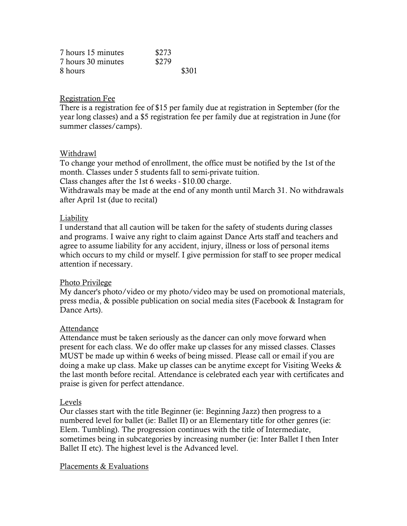| 7 hours 15 minutes | \$273 |
|--------------------|-------|
| 7 hours 30 minutes | \$279 |
| 8 hours            | \$301 |

#### Registration Fee

There is a registration fee of \$15 per family due at registration in September (for the year long classes) and a \$5 registration fee per family due at registration in June (for summer classes/camps).

#### Withdrawl

To change your method of enrollment, the office must be notified by the 1st of the month. Classes under 5 students fall to semi-private tuition.

Class changes after the 1st 6 weeks - \$10.00 charge.

Withdrawals may be made at the end of any month until March 31. No withdrawals after April 1st (due to recital)

#### Liability

I understand that all caution will be taken for the safety of students during classes and programs. I waive any right to claim against Dance Arts staff and teachers and agree to assume liability for any accident, injury, illness or loss of personal items which occurs to my child or myself. I give permission for staff to see proper medical attention if necessary.

#### Photo Privilege

My dancer's photo/video or my photo/video may be used on promotional materials, press media, & possible publication on social media sites (Facebook & Instagram for Dance Arts).

#### Attendance

Attendance must be taken seriously as the dancer can only move forward when present for each class. We do offer make up classes for any missed classes. Classes MUST be made up within 6 weeks of being missed. Please call or email if you are doing a make up class. Make up classes can be anytime except for Visiting Weeks & the last month before recital. Attendance is celebrated each year with certificates and praise is given for perfect attendance.

#### Levels

Our classes start with the title Beginner (ie: Beginning Jazz) then progress to a numbered level for ballet (ie: Ballet II) or an Elementary title for other genres (ie: Elem. Tumbling). The progression continues with the title of Intermediate, sometimes being in subcategories by increasing number (ie: Inter Ballet I then Inter Ballet II etc). The highest level is the Advanced level.

#### Placements & Evaluations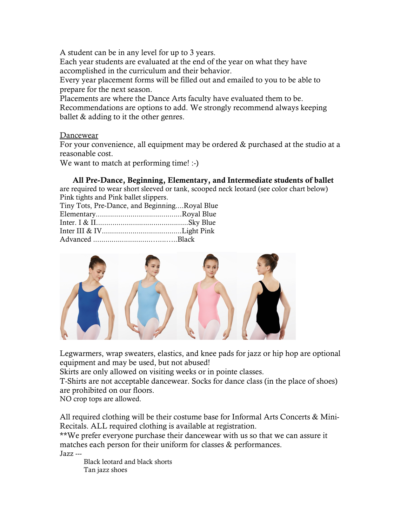A student can be in any level for up to 3 years.

Each year students are evaluated at the end of the year on what they have accomplished in the curriculum and their behavior.

Every year placement forms will be filled out and emailed to you to be able to prepare for the next season.

Placements are where the Dance Arts faculty have evaluated them to be. Recommendations are options to add. We strongly recommend always keeping ballet & adding to it the other genres.

Dancewear

For your convenience, all equipment may be ordered & purchased at the studio at a reasonable cost.

We want to match at performing time! :-)

All Pre-Dance, Beginning, Elementary, and Intermediate students of ballet

are required to wear short sleeved or tank, scooped neck leotard (see color chart below) Pink tights and Pink ballet slippers.

| Tiny Tots, Pre-Dance, and BeginningRoyal Blue |  |
|-----------------------------------------------|--|
|                                               |  |
|                                               |  |
|                                               |  |
|                                               |  |



Legwarmers, wrap sweaters, elastics, and knee pads for jazz or hip hop are optional equipment and may be used, but not abused!

Skirts are only allowed on visiting weeks or in pointe classes.

T-Shirts are not acceptable dancewear. Socks for dance class (in the place of shoes) are prohibited on our floors.

NO crop tops are allowed.

All required clothing will be their costume base for Informal Arts Concerts & Mini-Recitals. ALL required clothing is available at registration.

\*\*We prefer everyone purchase their dancewear with us so that we can assure it matches each person for their uniform for classes & performances.

Jazz ---

Black leotard and black shorts Tan jazz shoes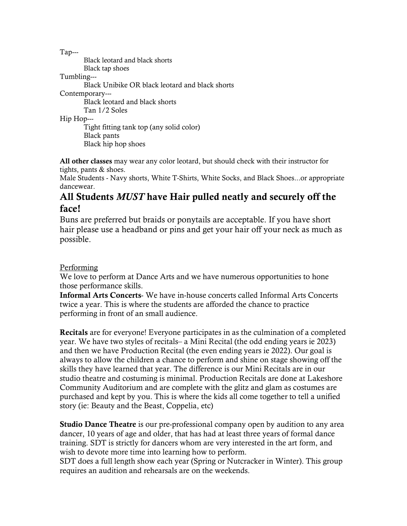Tap---

Black leotard and black shorts Black tap shoes Tumbling--- Black Unibike OR black leotard and black shorts

Contemporary---

Black leotard and black shorts Tan 1/2 Soles

Hip Hop---

Tight fitting tank top (any solid color) Black pants Black hip hop shoes

All other classes may wear any color leotard, but should check with their instructor for tights, pants & shoes.

Male Students - Navy shorts, White T-Shirts, White Socks, and Black Shoes...or appropriate dancewear.

## All Students MUST have Hair pulled neatly and securely off the face!

Buns are preferred but braids or ponytails are acceptable. If you have short hair please use a headband or pins and get your hair off your neck as much as possible.

## Performing

We love to perform at Dance Arts and we have numerous opportunities to hone those performance skills.

Informal Arts Concerts- We have in-house concerts called Informal Arts Concerts twice a year. This is where the students are afforded the chance to practice performing in front of an small audience.

Recitals are for everyone! Everyone participates in as the culmination of a completed year. We have two styles of recitals– a Mini Recital (the odd ending years ie 2023) and then we have Production Recital (the even ending years ie 2022). Our goal is always to allow the children a chance to perform and shine on stage showing off the skills they have learned that year. The difference is our Mini Recitals are in our studio theatre and costuming is minimal. Production Recitals are done at Lakeshore Community Auditorium and are complete with the glitz and glam as costumes are purchased and kept by you. This is where the kids all come together to tell a unified story (ie: Beauty and the Beast, Coppelia, etc)

Studio Dance Theatre is our pre-professional company open by audition to any area dancer, 10 years of age and older, that has had at least three years of formal dance training. SDT is strictly for dancers whom are very interested in the art form, and wish to devote more time into learning how to perform.

SDT does a full length show each year (Spring or Nutcracker in Winter). This group requires an audition and rehearsals are on the weekends.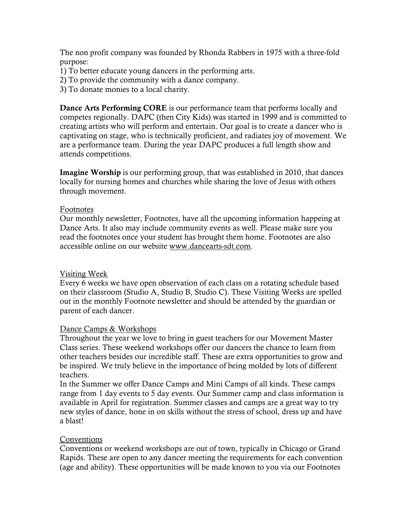The non profit company was founded by Rhonda Rabbers in 1975 with a three-fold purpose:

- 1) To better educate young dancers in the performing arts.
- 2) To provide the community with a dance company.
- 3) To donate monies to a local charity.

Dance Arts Performing CORE is our performance team that performs locally and competes regionally. DAPC (then City Kids) was started in 1999 and is committed to creating artists who will perform and entertain. Our goal is to create a dancer who is captivating on stage, who is technically proficient, and radiates joy of movement. We are a performance team. During the year DAPC produces a full length show and attends competitions.

Imagine Worship is our performing group, that was established in 2010, that dances locally for nursing homes and churches while sharing the love of Jesus with others through movement.

#### Footnotes

Our monthly newsletter, Footnotes, have all the upcoming information happeing at Dance Arts. It also may include community events as well. Please make sure you read the footnotes once your student has brought them home. Footnotes are also accessible online on our website www.dancearts-sdt.com.

## Visiting Week

Every 6 weeks we have open observation of each class on a rotating schedule based on their classroom (Studio A, Studio B, Studio C). These Visiting Weeks are spelled out in the monthly Footnote newsletter and should be attended by the guardian or parent of each dancer.

#### Dance Camps & Workshops

Throughout the year we love to bring in guest teachers for our Movement Master Class series. These weekend workshops offer our dancers the chance to learn from other teachers besides our incredible staff. These are extra opportunities to grow and be inspired. We truly believe in the importance of being molded by lots of different teachers.

In the Summer we offer Dance Camps and Mini Camps of all kinds. These camps range from 1 day events to 5 day events. Our Summer camp and class information is available in April for registration. Summer classes and camps are a great way to try new styles of dance, hone in on skills without the stress of school, dress up and have a blast!

## Conventions

Conventions or weekend workshops are out of town, typically in Chicago or Grand Rapids. These are open to any dancer meeting the requirements for each convention (age and ability). These opportunities will be made known to you via our Footnotes